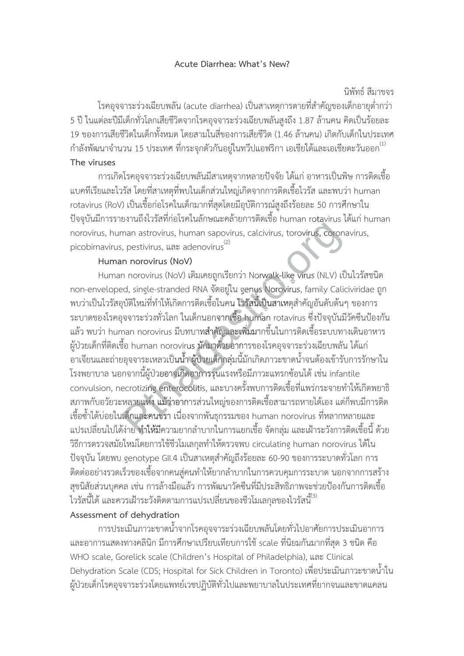#### Acute Diarrhea: What's New?

## นิพัทธ์ สีมาขจร

โรคอุจจาระร่วงเฉียบพลัน (acute diarrhea) เป็นสาเหตุการตายที่สำคัญของเด็กอายุต่ำกว่า 5 ปี ในแต่ละปีมีเด็กทั่วโลกเสียชีวิตจากโรคอุจจาระร่วงเฉียบพลันสูงถึง 1.87 ล้านคน คิดเป็นร้อยละ 19 ของการเสียชีวิตในเด็กทั้งหมด โดยสามในสี่ของการเสียชีวิต (1.46 ล้านคน) เกิดกับเด็กในประเทศ ี กำลังพัฒนาจำนวน 15 ประเทศ ที่กระจุกตัวกันอยู่ในทวีปแอฟริกา เอเชียใต้และเอเชียตะวันออก <sup>(1)</sup>

# The viruses

การเกิดโรคอุจจาระร่วงเฉียบพลันมีสาเหตุจากหลายปัจจัย ได้แก่ อาหารเป็นพิษ การติดเชื้อ แบคทีเรียและไวรัส โดยที่สาเหตุที่พบในเด็กส่วนใหญ่เกิดจากการติดเชื้อไวรัส และพบว่า human rotavirus (RoV) เป็นเชื้อก่อโรคในเด็กมากที่สุดโดยมีอุบัติการณ์สูงถึงร้อยละ 50 การศึกษาใน ้ ปัจจุบันมีการรายงานถึงไวรัสที่ก่อโรคในลักษณะคล้ายการติดเชื้อ human rotavirus ได้แก่ human norovirus, human astrovirus, human sapovirus, calcivirus, torovirus, coronavirus, picobirnavirus, pestivirus, และ adenovirus<sup>(2)</sup>

## Human norovirus (NoV)

Human norovirus (NoV) เดิมเคยถูกเรียกว่า Norwalk-like virus (NLV) เป็นไวรัสชนิด non-enveloped, single-stranded RNA จัดอยู่ใน genus Norovirus, family Caliciviridae ถูก ่ พบว่าเป็นไวรัสอุบัติใหม่ที่ทำให้เกิดการติดเชื้อในคน ไวรัสนี้เป็นสาเหตุสำคัญอันดับต้นๆ ของการ ระบาดของโรคอุจจาระร่วงทั่วโลก ในเด็กนอกจากเชื้อ human rotavirus ซึ่งปัจจุบันมีวัคซีนป้องกัน แล้ว พบว่า human norovirus มีบทบาทสำคัญและเพิ่มมากขึ้นในการติดเชื้อระบบทางเดินอาหาร ้ผู้ป่วยเด็กที่ติดเชื้อ human norovirus มักมาด้วยอาการของโรคอุจจาระร่วงเฉียบพลัน ได้แก่ ้อาเจียนและถ่ายอุจจาระเหลวเป็นน้ำ ผู้ป่วยเด็กกลุ่มนี้มักเกิดภาวะขาดน้ำจนต้องเข้ารับการรักษาใน โรงพยาบาล นอกจากนี้ผู้ป่วยอาจเกิดอาการรุนแรงหรือมีภาวะแทรกซ้อนได้ เช่น infantile convulsion, necrotizing enterocolitis, และบางครั้งพบการติดเชื้อที่แพร่กระจายทำให้เกิดพยาธิ สภาพกับอวัยวะหลายแห่ง แม้ว่าอาการส่วนใหญ่ของการติดเชื้อสามารถหายได้เอง แต่ก็พบมีการติด ้เชื้อซ้ำได้บ่อยในเด็กและคนชรา เนื่องจากพันธุกรรมของ human norovirus ที่หลากหลายและ ี แปรเปลี่ยนไปได้ง่าย ทำให้มีความยากลำบากในการแยกเชื้อ จัดกล่ม และเฝ้าระวังการติดเชื้อนี้ ด้วย วิธีการตรวจสมัยใหม่โดยการใช้ชีวโมเลกุลทำให้ตรวจพบ circulating human norovirus ได้ใน ้ ปัจจุบัน โดยพบ genotype GII.4 เป็นสาเหตุสำคัญถึงร้อยละ 60-90 ของการระบาดทั่วโลก การ ์ติดต่ออย่างรวดเร็วของเชื้อจากคนสู่คนทำให้ยากลำบากในการควบคุมการระบาด นอกจากการสร้าง ้สุขนิสัยส่วนบุคคล เช่น การล้างมือแล้ว การพัฒนาวัคซีนที่มีประสิทธิภาพจะช่วยป้องกันการติดเชื้อ ไวรัสนี้ได้ และควรเฝ้าระวังติดตามการแปรเปลี่ยนของชีวโมเลกุลของไวรัสนี้ $^{\!(3)}$ 

## Assessment of dehydration

ิ การประเมินภาวะขาดน้ำจากโรคอุจจาระร่วงเฉียบพลันโดยทั่วไปอาศัยการประเมินอาการ และอาการแสดงทางคลินิก มีการศึกษาเปรียบเทียบการใช้ scale ที่นิยมกันมากที่สุด 3 ชนิด คือ WHO scale, Gorelick scale (Children's Hospital of Philadelphia), และ Clinical Dehydration Scale (CDS; Hospital for Sick Children in Toronto) เพื่อประเมินภาวะขาดน้ำใน ผู้ป่วยเด็กโรคอุจจาระร่วงโดยแพทย์เวชปฏิบัติทั่วไปและพยาบาลในประเทศที่ยากจนและขาดแคลน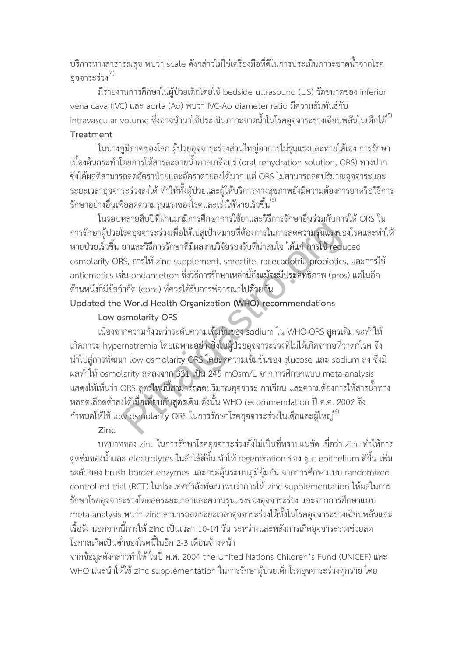ึ บริการทางสาธารณสุข พบว่า scale ดังกล่าวไม่ใช่เครื่องมือที่ดีในการประเมินภาวะขาดน้ำจากโรค อุจจาระร่วง $^{(4)}$ 

มีรายงานการศึกษาในผู้ป่วยเด็กโดยใช้ bedside ultrasound (US) วัดขนาดของ inferior vena cava (IVC) และ aorta (Ao) พบว่า IVC-Ao diameter ratio มีความสัมพันธ์กับ intravascular volume ซึ่งอาจนำมาใช้ประเมินภาวะขาดน้ำในโรคอุจจาระร่วงเฉียบพลันในเด็กได้<sup>(5)</sup> Treatment

ในบางภูมิภาคของโลก ผู้ป่วยอุจจาระร่วงส่วนใหญ่อาการไม่รุนแรงและหายได้เอง การรักษา เบื้องต้นกระทำโดยการให้สารละลายน้ำตาลเกลือแร่ (oral rehydration solution, ORS) ทางปาก ซึ่งได้ผลดีสามารถลดอัตราป่วยและอัตราตายลงได้มาก แต่ ORS ไม่สามารถลดปริมาณอุจจาระและ ระยะเวลาอุจจาระร่วงลงได้ ทำให้ทั้งผู้ป่วยและผู้ให้บริการทางสุขภาพยังมีความต้องการยาหรือวิธีการ รักษาอย่างอื่นเพื่อลดความรุนแรงของโรคและเร่งให้หายเร็วขึ้น $^{(6)}$ 

ในรอบหลายสิบปีที่ผ่านมามีการศึกษาการใช้ยาและวิธีการรักษาอื่นร่วมกับการให้ ORS ใน การรักษาผู้ป่วยโรคอุจจาระร่วงเพื่อให้ไปสู่เป้าหมายที่ต้องการในการลดความรุนแรงของโรคและทำให้ หายป่วยเร็วขึ้น ยาและวิธีการรักษาที่มีผลงานวิจัยรองรับที่น่าสนใจ ได้แก่ การใช้ reduced osmolarity ORS, การให้ zinc supplement, smectite, racecadotril, probiotics, และการใช้ antiemetics เช่น ondansetron ซึ่งวิธีการรักษาเหล่านี้ถึงแม้จะมีประสิทธิภาพ (pros) แต่ในอีก ้ด้านหนึ่งก็มีข้อจำกัด (cons) ที่ควรได้รับการพิจารณาไปด้วยกัน

# Updated the World Health Organization (WHO) recommendations

### Low osmolarity ORS

เนื่องจากความกังวลว่าระดับความเข้มข้นของ sodium ใน WHO-ORS สูตรเดิม จะทำให้ เกิดภาวะ hypernatremia โดยเฉพาะอย่างยิ่งในผู้ป่วยอุจจาระร่วงที่ไม่ได้เกิดจากอหิวาตกโรค จึง นำไปสู่การพัฒนา low osmolarity ORS โดยลดความเข้มข้นของ glucose และ sodium ลง ซึ่งมี ผลทำให้ osmolarity ลดลงจาก 331 เป็น 245 mOsm/L จากการศึกษาแบบ meta-analysis ี แสดงให้เห็นว่า ORS สตรใหม่นี้สามารถลดปริมาณอจจาระ อาเจียน และความต้องการให้สารน้ำทาง หลอดเลือดดำลงได้เมื่อเทียบกับสูตรเดิม ดังนั้น WHO recommendation ปี ค.ศ. 2002 จึง กำหนดให้ใช้ low osmolarity ORS ในการรักษาโรคอุจจาระร่วงในเด็กและผู้ใหญ่<sup>(6)</sup>

## Zinc

บทบาทของ zinc ในการรักษาโรคอุจจาระร่วงยังไม่เป็นที่ทราบแน่ชัด เชื่อว่า zinc ทำให้การ ้ ดูดซึมของน้ำและ electrolytes ในลำไส้ดีขึ้น ทำให้ regeneration ของ gut epithelium ดีขึ้น เพิ่ม ระดับของ brush border enzymes และกระตุ้นระบบภูมิคุ้มกัน จากการศึกษาแบบ randomized controlled trial (RCT) ในประเทศกำลังพัฒนาพบว่าการให้ zinc supplementation ให้ผลในการ รักษาโรคอุจจาระร่วงโดยลดระยะเวลาและความรุนแรงของอุจจาระร่วง และจากการศึกษาแบบ meta-analysis พบว่า zinc สามารถลดระยะเวลาอุจจาระร่วงได้ทั้งในโรคอุจจาระร่วงเฉียบพลันและ ้เรื้อรัง นอกจากนี้การให้ zinc เป็นเวลา 10-14 วัน ระหว่างและหลังการเกิดอจจาระร่วงช่วยลด โอกาสเกิดเป็นซ้ำของโรคนี้ในอีก 2-3 เดือนข้างหน้า

จากข้อมูลดังกล่าวทำให้ ในปี ค.ศ. 2004 the United Nations Children's Fund (UNICEF) และ WHO แนะนำให้ใช้ zinc supplementation ในการรักษาผู้ป่วยเด็กโรคอุจจาระร่วงทุกราย โดย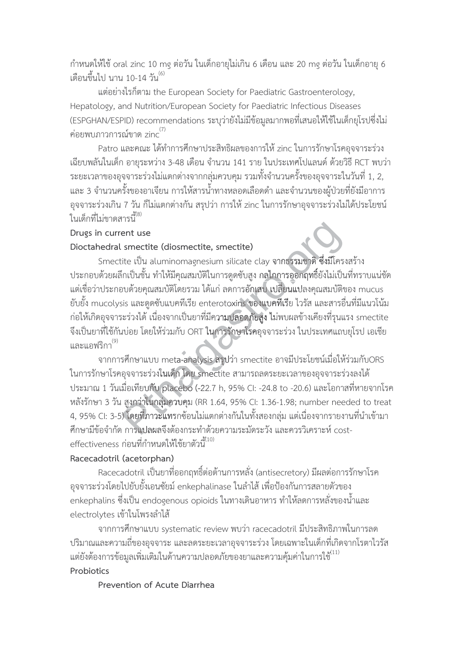้กำหนดให้ใช้ oral zinc 10 mg ต่อวัน ในเด็กอายุไม่เกิน 6 เดือน และ 20 mg ต่อวัน ในเด็กอายุ 6 เดือนขึ้นไป นาน 10-14 วัน <sup>(6)</sup>

แต่อย่างไรก็ตาม the European Society for Paediatric Gastroenterology, Hepatology, and Nutrition/European Society for Paediatric Infectious Diseases (ESPGHAN/ESPID) recommendations ระบุว่ายังไม่มีข้อมูลมากพอที่เสนอให้ใช้ในเด็กยุโรปซึ่งไม่ ค่อยพบภาวการณ์ขาด zin $\epsilon^{(7)}$ 

Patro และคณะ ได้ทำการศึกษาประสิทธิผลของการให้ zinc ในการรักษาโรคอุจจาระร่วง เฉียบพลันในเด็ก อายุระหว่าง 3-48 เดือน จำนวน 141 ราย ในประเทศโปแลนด์ ด้วยวิธี RCT พบว่า ี ระยะเวลาของอุจจาระร่วงไม่แตกต่างจากกลุ่มควบคุม รวมทั้งจำนวนครั้งของอุจจาระในวันที่ 1, 2, และ 3 จำนวนครั้งของอาเจียน การให้สารน้ำทางหลอดเลือดดำ และจำนวนของผู้ป่วยที่ยังมีอาการ ้อุจจาระร่วงเกิน 7 วัน ก็ไม่แตกต่างกัน สรุปว่า การให้ zinc ในการรักษาอุจจาระร่วงไม่ได้ประโยชน์ ในเด็กที่ไม่ขาดสารนี้<sup>(8)</sup>

#### Drugs in current use

## Dioctahedral smectite (diosmectite, smectite)

Smectite เป็น aluminomagnesium silicate clay จากธรรมชาติ ซึ่งมีโครงสร้าง ี ประกอบด้วยผลึกเป็นชั้น ทำให้มีคุณสมบัติในการดูดซับสูง กลไกการออกฤทธิ์ยังไม่เป็นที่ทราบแน่ชัด แต่เชื่อว่าประกอบด้วยคุณสมบัติโดยรวม ได้แก่ ลดการอักเสบ เปลี่ยนแปลงคุณสมบัติของ mucus ยับยั้ง mucolysis และดูดซับแบคทีเรีย enterotoxins ของแบคทีเรีย ไวรัส และสารอื่นที่มีแนวโน้ม ก่อให้เกิดอุจจาระร่วงได้ เนื่องจากเป็นยาที่มีความปลอดภัยสูง ไม่พบผลข้างเคียงที่รุนแรง smectite จึงเป็นยาที่ใช้กันบ่อย โดยให้ร่วมกับ ORT ในการรักษาโรคอุจจาระร่วง ในประเทศแถบยุโรป เอเชีย ู้และแอฟริกา<sup>(9)</sup>

จากการศึกษาแบบ meta-analysis สรุปว่า smectite อาจมีประโยชน์เมื่อให้ร่วมกับORS ในการรักษาโรคอุจจาระร่วงในเด็ก โดย smectite สามารถลดระยะเวลาของอุจจาระร่วงลงได้ ประมาณ 1 วันเมื่อเทียบกับ placebo (-22.7 h, 95% CI: -24.8 to -20.6) และโอกาสที่หายจากโรค หลังรักษา 3 วัน สูงกว่าในกลุ่มควบคุม (RR 1.64, 95% CI: 1.36-1.98; number needed to treat 4, 95% CI: 3-5) โดยที่ภาวะแทรกซ้อนไม่แตกต่างกันในทั้งสองกลุ่ม แต่เนื่องจากรายงานที่นำเข้ามา ์ศึกษามีข้อจำกัด การแปลผลจึงต้องกระทำด้วยความระมัดระวัง และควรวิเคราะห์ costeffectiveness ก่อนที่กำหนดให้ใช้ยาตัวนี้<sup>(10)</sup>

#### Racecadotril (acetorphan)

Racecadotril เป็นยาที่ออกฤทธิ์ต่อต้านการหลั่ง (antisecretory) มีผลต่อการรักษาโรค ้อุจจาระร่วงโดยไปยับยั้งเอนซัยม์ enkephalinase ในลำไส้ เพื่อป้องกันการสลายตัวของ enkephalins ซึ่งเป็น endogenous opioids ในทางเดินอาหาร ทำให้ลดการหลั่งของน้ำและ electrolytes เข้าในโพรงลำไส้

จากการศึกษาแบบ systematic review พบว่า racecadotril มีประสิทธิภาพในการลด ้ ปริมาณและความถี่ของอุจจาระ และลดระยะเวลาอุจจาระร่วง โดยเฉพาะในเด็กที่เกิดจากโรตาไวรัส แต่ยังต้องการข้อมูลเพิ่มเติมในด้านความปลอดภัยของยาและความคุ้มค่าในการใช้ $^{\prime\prime\left(11\right)}$ Probiotics

#### Prevention of Acute Diarrhea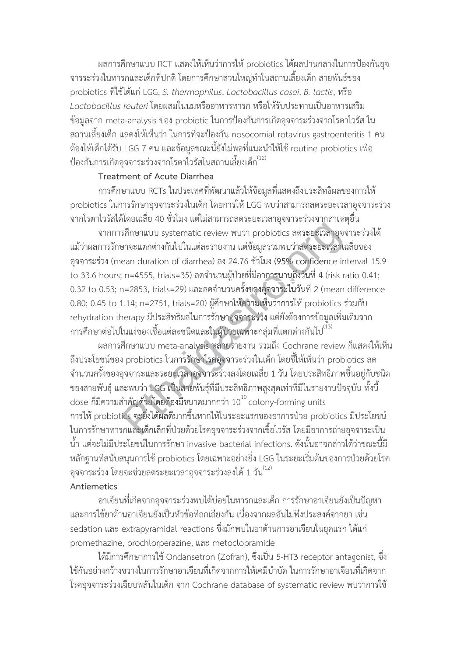ผลการศึกษาแบบ RCT แสดงให้เห็นว่าการให้ probiotics ได้ผลปานกลางในการป้องกันอุจ ิ จารระร่วงในทารกและเด็กที่ปกติ โดยการศึกษาส่วนใหญ่ทำในสถานเลี้ยงเด็ก สายพันธ์ของ probiotics ที่ใช้ได้แก่ LGG, S. thermophilus, Lactobacillus casei, B. lactis, หรือ Lactobacillus reuteri โดยผสมในนมหรืออาหารทารก หรือให้รับประทานเป็นอาหารเสริม ข้อมูลจาก meta-analysis ของ probiotic ในการป้องกันการเกิดอุจจาระร่วงจากโรตาไวรัส ใน ิสถานเลี้ยงเด็ก แลดงให้เห็นว่า ในการที่จะป้องกัน nosocomial rotavirus gastroenteritis 1 คน ้ต้องให้เด็กได้รับ LGG 7 คน และข้อมูลขณะนี้ยังไม่พอที่แนะนำให้ใช้ routine probiotics เพื่อ ้ป้องกันการเกิดอุจจาระร่วงจากโรตาไวรัสในสถานเลี้ยงเด็ก<sup>(12)</sup>

# Treatment of Acute Diarrhea

การศึกษาแบบ RCTs ในประเทศที่พัฒนาแล้วให้ข้อมูลที่แสดงถึงประสิทธิผลของการให้ probiotics ในการรักษาอุจจาระร่วงในเด็ก โดยการให้ LGG พบว่าสามารถลดระยะเวลาอุจจาระร่วง ี จากโรตาไวรัสได้โดยเฉลี่ย 40 ชั่วโมง แต่ไม่สามารถลดระยะเวลาอุจจาระร่วงจากสาเหตุอื่น

จากการศึกษาแบบ systematic review พบว่า probiotics ลดระยะเวลาอุจจาระร่วงได้ แม้ว่าผลการรักษาจะแตกต่างกันไปในแต่ละรายงาน แต่ข้อมูลรวมพบว่าลดระยะเวลาเฉลี่ยของ อจจาระร่วง (mean duration of diarrhea) ลง 24.76 ชั่วโมง (95% confidence interval 15.9 to 33.6 hours; n=4555, trials=35) ลดจำนวนผู้ป่วยที่มีอาการนานถึงวันที่ 4 (risk ratio 0.41;  $0.32$  to 0.53; n=2853, trials=29) และลดจำนวนครั้งของอุจจาระในวันที่ 2 (mean difference 0.80; 0.45 to 1.14; n=2751, trials=20) ผู้ศึกษาให้ความเห็นว่าการให้ probiotics ร่วมกับ rehydration therapy มีประสิทธิผลในการรักษาอุจจาระร่วง แต่ยังต้องการข้อมูลเพิ่มเติมจาก การศึกษาต่อไปในแง่ของเชื้อแต่ละชนิดและในผู้ป่วยเฉพาะกลุ่มที่แตกต่างกันไป<sup>(13)</sup>

ผลการศึกษาแบบ meta-analysis หลายรายงาน รวมถึง Cochrane review ก็แสดงให้เห็น ถึงประโยชน์ของ probiotics ในการรักษาโรคอุจจาระร่วงในเด็ก โดยชี้ให้เห็นว่า probiotics ลด ้จำนวนครั้งของอุจจาระและระยะเวลาอุจจาระร่วงลงโดยเฉลี่ย 1 วัน โดยประสิทธิภาพขึ้นอยู่กับชนิด ่ ของสายพันธุ์ และพบว่า LGG เป็นสายพันธุ์ที่มีประสิทธิภาพสูงสุดเท่าที่มีในรายงานปัจจุบัน ทั้งนี้ dose ก็มีความสำคัญด้วยโดยต้องมีขนาดมากกว่า  $10^{10}$  colony-forming units การให้ probiotics จะยิ่งได้ผลดีมากขึ้นหากให้ในระยะแรกของอาการป่วย probiotics มีประโยชน์ ในการรักษาทารกและเด็กเล็กที่ป่วยด้วยโรคอจจาระร่วงจากเชื้อไวรัส โดยมีอาการถ่ายอจจาระเป็น น้ำ แต่จะไม่มีประโยชน์ในการรักษา invasive bacterial infections. ดังนั้นอาจกล่าวได้ว่าขณะนี้มี หลักฐานที่สนับสนุนการใช้ probiotics โดยเฉพาะอย่างยิ่ง LGG ในระยะเริ่มต้นของการป่วยด้วยโรค อุจจาระร่วง โดยจะช่วยลดระยะเวลาอุจจาระร่วงลงได้ 1 วัน $^{(12)}$ 

# Antiemetics

้อาเจียนที่เกิดจากอุจจาระร่วงพบได้บ่อยในทารกและเด็ก การรักษาอาเจียนยังเป็นปัญหา และการใช้ยาต้านอาเจียนยังเป็นหัวข้อที่ถกเถียงกัน เนื่องจากผลอันไม่พึงประสงค์จากยา เช่น sedation และ extrapyramidal reactions ซึ่งมักพบในยาต้านการอาเจียนในยคแรก ได้แก่ promethazine, prochlorperazine, และ metoclopramide

ได้มีการศึกษาการใช้ Ondansetron (Zofran), ซึ่งเป็น 5-HT3 receptor antagonist, ซึ่ง ใช้กันอย่างกว้างขวางในการรักษาอาเจียนที่เกิดจากการให้เคมีบำบัด ในการรักษาอาเจียนที่เกิดจาก โรคอุจจาระร่วงเฉียบพลันในเด็ก จาก Cochrane database of systematic review พบว่าการใช้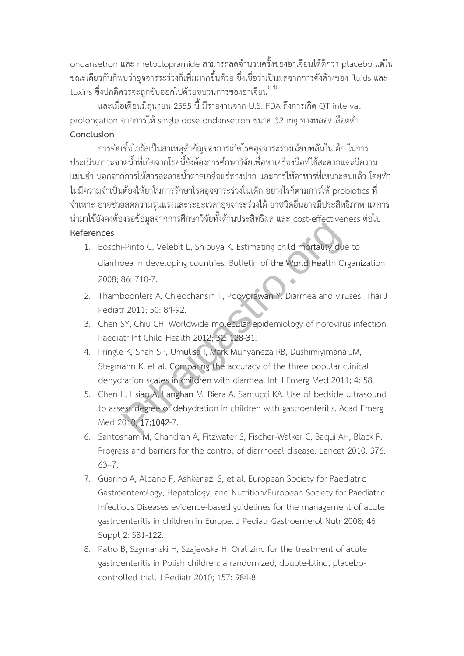ondansetron และ metoclopramide สามารถลดจำนวนครั้งของอาเจียนได้ดีกว่า placebo แต่ใน ขณะเดียวกันก็พบว่าอุจจารระร่วงก็เพิ่มมากขึ้นด้วย ซึ่งเชื่อว่าเป็นผลจากการคั่งค้างของ fluids และ toxins ซึ่งปกติควรจะถูกขับออกไปด้วยขบวนการของอาเจียน $^{\left(14\right)}$ 

และเมื่อเดือนมิถุนายน 2555 นี้ มีรายงานจาก U.S. FDA ถึงการเกิด QT interval prolongation จากการให้ single dose ondansetron ขนาด 32 mg ทางหลอดเลือดดำ Conclusion

การติดเชื้อไวรัสเป็นสาเหตุสำคัญของการเกิดโรคอุจจาระร่วงเฉียบพลันในเด็ก ในการ ประเมินภาวะขาดน้ำที่เกิดจากโรคนี้ยังต้องการศึกษาวิจัยเพื่อหาเครื่องมือที่ใช้สะดวกและมีความ ้แม่นยำ นอกจากการให้สารละลายน้ำตาลเกลือแร่ทางปาก และการให้อาหารที่เหมาะสมแล้ว โดยทั่ว ไม่มีความจำเป็นต้องให้ยาในการรักษาโรคอุจจาระร่วงในเด็ก อย่างไรก็ตามการให้ probiotics ที่ ้จำเพาะ อาจช่วยลดความรุนแรงและระยะเวลาอุจจาระร่วงได้ ยาชนิดอื่นอาจมีประสิทธิภาพ แต่การ นำมาใช้ยังคงต้องรอข้อมูลจากการศึกษาวิจัยทั้งด้านประสิทธิผล และ cost-effectiveness ต่อไป References

- 1. Boschi-Pinto C, Velebit L, Shibuya K. Estimating child mortality due to diarrhoea in developing countries. Bulletin of the World Health Organization 2008: 86: 710-7.
- 2. Thamboonlers A. Chieochansin T. Poovorawan Y. Diarrhea and viruses. Thai J. Pediatr 2011; 50: 84-92.
- 3. Chen SY, Chiu CH. Worldwide molecular epidemiology of norovirus infection. Paediatr Int Child Health 2012; 32: 128-31.
- 4. Pringle K, Shah SP, Umulisa I, Mark Munyaneza RB, Dushimiyimana JM, Stegmann K, et al. Comparing the accuracy of the three popular clinical dehydration scales in children with diarrhea. Int J Emerg Med 2011; 4: 58.
- 5. Chen L, Hsiao A, Langhan M, Riera A, Santucci KA. Use of bedside ultrasound to assess degree of dehydration in children with gastroenteritis. Acad Emerg Med 2010: 17:1042-7.
- 6. Santosham M, Chandran A, Fitzwater S, Fischer-Walker C, Baqui AH, Black R. Progress and barriers for the control of diarrhoeal disease. Lancet 2010; 376:  $63 - 7.$
- 7. Guarino A, Albano F, Ashkenazi S, et al. European Society for Paediatric Gastroenterology, Hepatology, and Nutrition/European Society for Paediatric Infectious Diseases evidence-based guidelines for the management of acute gastroenteritis in children in Europe. J Pediatr Gastroenterol Nutr 2008; 46 Suppl 2: S81-122.
- 8. Patro B, Szymanski H, Szajewska H. Oral zinc for the treatment of acute gastroenteritis in Polish children: a randomized, double-blind, placebocontrolled trial. J Pediatr 2010: 157: 984-8.